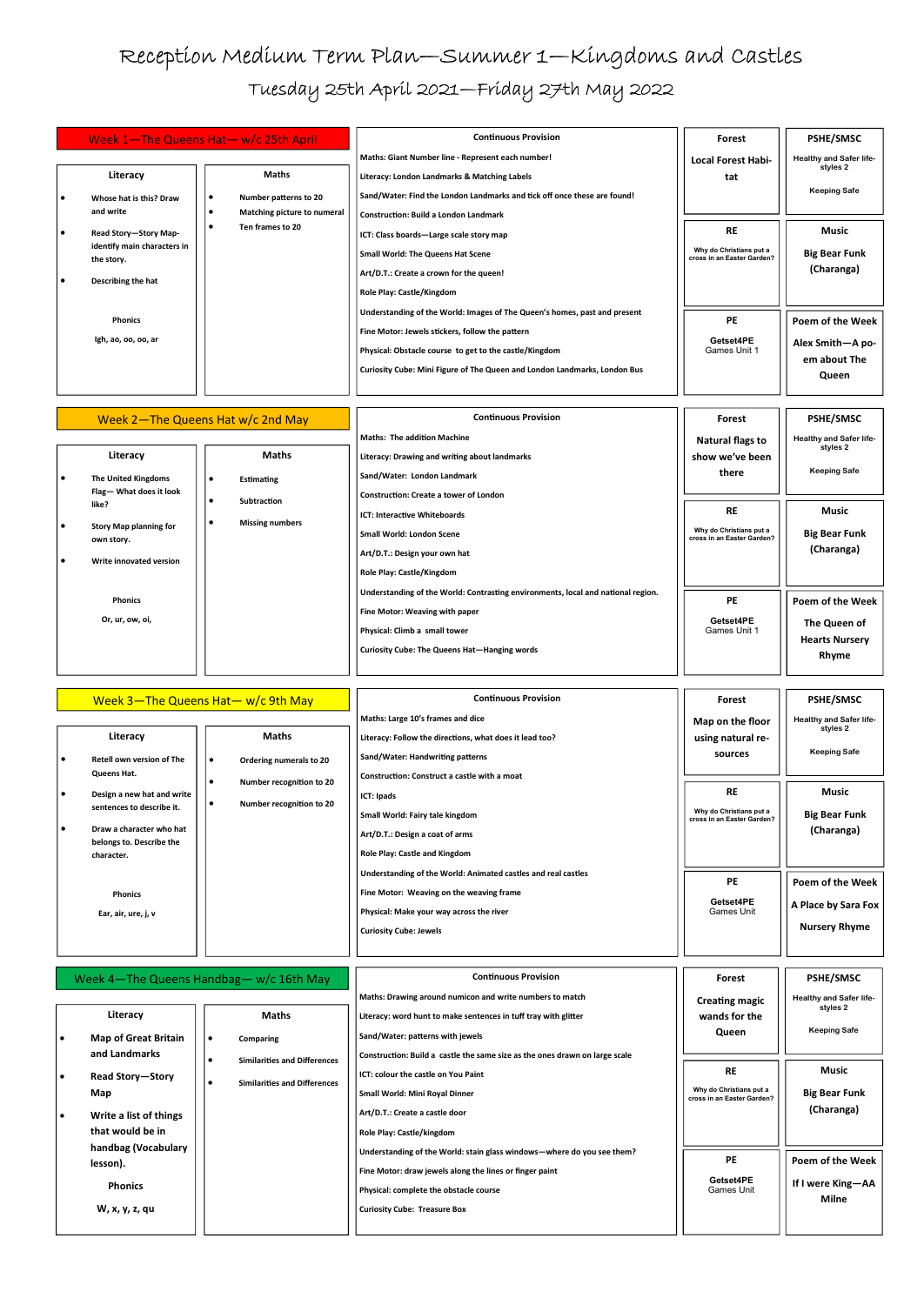## Reception Medium Term Plan—Summer 1—Kingdoms and Castles Tuesday 25th April 2021—Friday 27th May 2022

| Week 1-The Queens Hat- w/c 25th April |                                           |           |                             | <b>Continuous Provision</b>                                               | Forest                                                | <b>PSHE/SMSC</b>               |
|---------------------------------------|-------------------------------------------|-----------|-----------------------------|---------------------------------------------------------------------------|-------------------------------------------------------|--------------------------------|
|                                       |                                           |           |                             | Maths: Giant Number line - Represent each number!                         | <b>Local Forest Habi-</b>                             | <b>Healthy and Safer life-</b> |
|                                       | Literacy                                  |           | <b>Maths</b>                | Literacy: London Landmarks & Matching Labels                              | tat                                                   | styles 2                       |
|                                       | Whose hat is this? Draw                   | ∙         | Number patterns to 20       | Sand/Water: Find the London Landmarks and tick off once these are found!  |                                                       | <b>Keeping Safe</b>            |
|                                       | and write                                 | $\bullet$ | Matching picture to numeral | <b>Construction: Build a London Landmark</b>                              |                                                       |                                |
|                                       | Read Story-Story Map-                     |           | Ten frames to 20            | ICT: Class boards-Large scale story map                                   | <b>RE</b>                                             | Music                          |
|                                       | identify main characters in<br>the story. |           |                             | Small World: The Queens Hat Scene                                         | Why do Christians put a<br>cross in an Easter Garden? | <b>Big Bear Funk</b>           |
|                                       | Describing the hat                        |           |                             | Art/D.T.: Create a crown for the queen!                                   |                                                       | (Charanga)                     |
|                                       |                                           |           |                             | Role Play: Castle/Kingdom                                                 |                                                       |                                |
|                                       |                                           |           |                             | Understanding of the World: Images of The Queen's homes, past and present |                                                       |                                |
|                                       | <b>Phonics</b>                            |           |                             | Fine Motor: Jewels stickers, follow the pattern                           | <b>PE</b>                                             | Poem of the Week               |
|                                       | Igh, ao, oo, oo, ar                       |           |                             |                                                                           | Getset4PE                                             | Alex Smith-A po-               |
|                                       |                                           |           |                             | Physical: Obstacle course to get to the castle/Kingdom                    | Games Unit 1                                          | em about The                   |
|                                       |                                           |           |                             | Curiosity Cube: Mini Figure of The Queen and London Landmarks, London Bus |                                                       | Queen                          |
|                                       |                                           |           |                             |                                                                           |                                                       |                                |

| Week 2-The Queens Hat w/c 2nd May |                                             |                                     | <b>Continuous Provision</b>                                                      | Forest                                                | <b>PSHE/SMSC</b>               |
|-----------------------------------|---------------------------------------------|-------------------------------------|----------------------------------------------------------------------------------|-------------------------------------------------------|--------------------------------|
|                                   |                                             |                                     | <b>Maths: The addition Machine</b>                                               | Natural flags to                                      | <b>Healthy and Safer life-</b> |
|                                   | Literacy                                    | <b>Maths</b>                        | Literacy: Drawing and writing about landmarks                                    | show we've been                                       | styles 2                       |
|                                   | The United Kingdoms                         | Estimating<br>$\bullet$             | Sand/Water: London Landmark                                                      | there                                                 | <b>Keeping Safe</b>            |
|                                   | Flag-What does it look                      | Subtraction<br>٠                    | <b>Construction: Create a tower of London</b>                                    |                                                       |                                |
|                                   | like?                                       |                                     | ICT: Interactive Whiteboards                                                     | <b>RE</b>                                             | Music                          |
|                                   | <b>Story Map planning for</b><br>own story. | <b>Missing numbers</b><br>$\bullet$ | <b>Small World: London Scene</b>                                                 | Why do Christians put a<br>cross in an Easter Garden? | <b>Big Bear Funk</b>           |
| ٠                                 | Write innovated version                     |                                     | Art/D.T.: Design your own hat                                                    |                                                       | (Charanga)                     |
|                                   |                                             |                                     | Role Play: Castle/Kingdom                                                        |                                                       |                                |
|                                   | <b>Phonics</b>                              |                                     | Understanding of the World: Contrasting environments, local and national region. | <b>PE</b>                                             | Poem of the Week               |
|                                   |                                             |                                     | Fine Motor: Weaving with paper                                                   |                                                       |                                |
|                                   | Or, ur, ow, oi,                             |                                     | Physical: Climb a small tower                                                    | Getset4PE<br>Games Unit 1                             | The Queen of                   |
|                                   |                                             |                                     | Curiosity Cube: The Queens Hat-Hanging words                                     |                                                       | <b>Hearts Nursery</b><br>Rhyme |
|                                   |                                             |                                     |                                                                                  |                                                       |                                |

|                                                                                                 | Week $3$ -The Queens Hat- w/c 9th May                                            | <b>Continuous Provision</b>                                                                                                                                                                    | Forest                                                        | <b>PSHE/SMSC</b>                                                           |
|-------------------------------------------------------------------------------------------------|----------------------------------------------------------------------------------|------------------------------------------------------------------------------------------------------------------------------------------------------------------------------------------------|---------------------------------------------------------------|----------------------------------------------------------------------------|
| Literacy<br>Retell own version of The<br>Queens Hat.<br>Design a new hat and write              | <b>Maths</b><br>Ordering numerals to 20<br>$\bullet$<br>Number recognition to 20 | Maths: Large 10's frames and dice<br>Literacy: Follow the directions, what does it lead too?<br>Sand/Water: Handwriting patterns<br>Construction: Construct a castle with a moat<br>ICT: Ipads | Map on the floor<br>using natural re-<br>sources<br><b>RE</b> | <b>Healthy and Safer life-</b><br>styles 2<br><b>Keeping Safe</b><br>Music |
| sentences to describe it.<br>Draw a character who hat<br>belongs to. Describe the<br>character. | Number recognition to 20                                                         | Small World: Fairy tale kingdom<br>Art/D.T.: Design a coat of arms<br>Role Play: Castle and Kingdom                                                                                            | Why do Christians put a<br>cross in an Easter Garden?         | <b>Big Bear Funk</b><br>(Charanga)                                         |
| <b>Phonics</b><br>Ear, air, ure, j, v                                                           |                                                                                  | Understanding of the World: Animated castles and real castles<br>Fine Motor: Weaving on the weaving frame<br>Physical: Make your way across the river<br><b>Curiosity Cube: Jewels</b>         | <b>PE</b><br>Getset4PE<br>Games Unit                          | Poem of the Week<br>A Place by Sara Fox<br><b>Nursery Rhyme</b>            |

Week 4—The Queens Handbag— w/c 16th May Continuous Provision

| Literacy                                     | <b>Maths</b>                                                               | Maths: Drawing around numicon and write numbers to match<br>Literacy: word hunt to make sentences in tuff tray with glitter | <b>Creating magic</b><br>wands for the | <b>Healthy and Safer life-</b><br>styles 2 |
|----------------------------------------------|----------------------------------------------------------------------------|-----------------------------------------------------------------------------------------------------------------------------|----------------------------------------|--------------------------------------------|
| <b>Map of Great Britain</b><br>and Landmarks | Comparing<br>$\bullet$                                                     | Sand/Water: patterns with jewels<br>Construction: Build a castle the same size as the ones drawn on large scale             | Queen                                  | <b>Keeping Safe</b>                        |
| Read Story-Story                             | <b>Similarities and Differences</b><br><b>Similarities and Differences</b> | ICT: colour the castle on You Paint                                                                                         | <b>RE</b><br>Why do Christians put a   | <b>Music</b>                               |
| Map<br>Write a list of things                |                                                                            | Small World: Mini Royal Dinner<br>Art/D.T.: Create a castle door                                                            | cross in an Easter Garden?             | <b>Big Bear Funk</b><br>(Charanga)         |
| that would be in<br>handbag (Vocabulary      |                                                                            | Role Play: Castle/kingdom<br>Understanding of the World: stain glass windows—where do you see them?                         | <b>PE</b>                              | Poem of the Week                           |
| lesson).<br><b>Phonics</b>                   |                                                                            | Fine Motor: draw jewels along the lines or finger paint<br>Physical: complete the obstacle course                           | Getset4PE<br><b>Games Unit</b>         | If I were King-AA                          |
| W, x, y, z, qu                               |                                                                            | <b>Curiosity Cube: Treasure Box</b>                                                                                         |                                        | <b>Milne</b>                               |

Forest

PSHE/SMSC